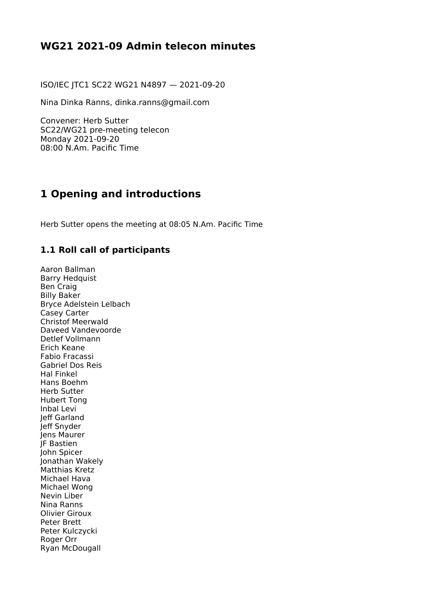## **WG21 2021-09 Admin telecon minutes**

ISO/IEC JTC1 SC22 WG21 N4897 — 2021-09-20

Nina Dinka Ranns, dinka.ranns@gmail.com

Convener: Herb Sutter SC22/WG21 pre-meeting telecon Monday 2021-09-20 08:00 N.Am. Pacific Time

## **1 Opening and introductions**

Herb Sutter opens the meeting at 08:05 N.Am. Pacific Time

#### **1.1 Roll call of participants**

Aaron Ballman Barry Hedquist Ben Craig Billy Baker Bryce Adelstein Lelbach Casey Carter Christof Meerwald Daveed Vandevoorde Detlef Vollmann Erich Keane Fabio Fracassi Gabriel Dos Reis Hal Finkel Hans Boehm Herb Sutter Hubert Tong Inbal Levi Jeff Garland Jeff Snyder Jens Maurer JF Bastien John Spicer Jonathan Wakely Matthias Kretz Michael Hava Michael Wong Nevin Liber Nina Ranns Olivier Giroux Peter Brett Peter Kulczycki Roger Orr Ryan McDougall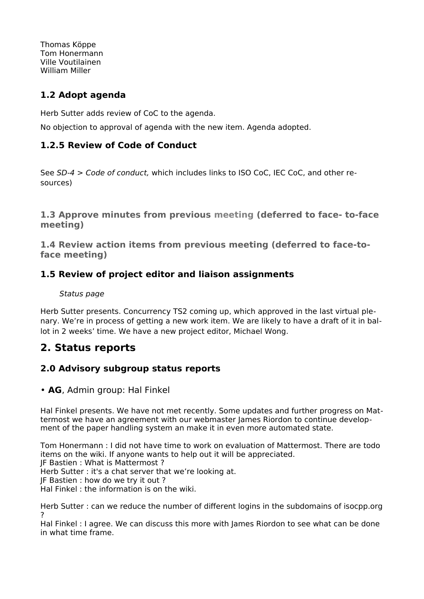Thomas Köppe Tom Honermann Ville Voutilainen William Miller

### **1.2 Adopt agenda**

Herb Sutter adds review of CoC to the agenda.

No objection to approval of agenda with the new item. Agenda adopted.

### **1.2.5 Review of Code of Conduct**

See [SD-4 > Code of conduct](https://isocpp.org/std/standing-documents/sd-4-wg21-practices-and-procedures#code-of-conduct), which includes links to ISO CoC, IEC CoC, and other resources)

**1.3 Approve minutes from previous meeting (deferred to face- to-face meeting)**

**1.4 Review action items from previous meeting (deferred to face-toface meeting)** 

### **1.5 Review of project editor and liaison assignments**

#### [Status page](https://isocpp.org/std/status)

Herb Sutter presents. Concurrency TS2 coming up, which approved in the last virtual plenary. We're in process of getting a new work item. We are likely to have a draft of it in ballot in 2 weeks' time. We have a new project editor, Michael Wong.

## **2. Status reports**

### **2.0 Advisory subgroup status reports**

#### • **AG**, Admin group: Hal Finkel

Hal Finkel presents. We have not met recently. Some updates and further progress on Mattermost we have an agreement with our webmaster James Riordon to continue development of the paper handling system an make it in even more automated state.

Tom Honermann : I did not have time to work on evaluation of Mattermost. There are todo items on the wiki. If anyone wants to help out it will be appreciated.

JF Bastien : What is Mattermost ?

Herb Sutter : it's a chat server that we're looking at.

JF Bastien : how do we try it out ?

Hal Finkel : the information is on the wiki.

Herb Sutter : can we reduce the number of different logins in the subdomains of isocpp.org ?

Hal Finkel : I agree. We can discuss this more with James Riordon to see what can be done in what time frame.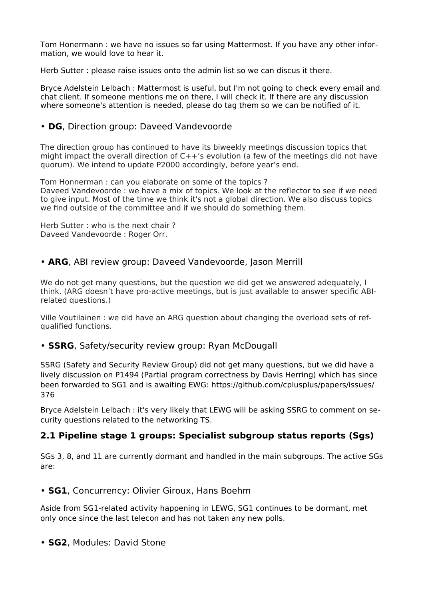Tom Honermann : we have no issues so far using Mattermost. If you have any other information, we would love to hear it.

Herb Sutter : please raise issues onto the admin list so we can discus it there.

Bryce Adelstein Lelbach : Mattermost is useful, but I'm not going to check every email and chat client. If someone mentions me on there, I will check it. If there are any discussion where someone's attention is needed, please do tag them so we can be notified of it.

#### • **DG**, Direction group: Daveed Vandevoorde

The direction group has continued to have its biweekly meetings discussion topics that might impact the overall direction of C++'s evolution (a few of the meetings did not have quorum). We intend to update P2000 accordingly, before year's end.

Tom Honnerman : can you elaborate on some of the topics ? Daveed Vandevoorde : we have a mix of topics. We look at the reflector to see if we need to give input. Most of the time we think it's not a global direction. We also discuss topics we find outside of the committee and if we should do something them.

Herb Sutter : who is the next chair ? Daveed Vandevoorde : Roger Orr.

#### • **ARG**, ABI review group: Daveed Vandevoorde, Jason Merrill

We do not get many questions, but the question we did get we answered adequately, I think. (ARG doesn't have pro-active meetings, but is just available to answer specific ABIrelated questions.)

Ville Voutilainen : we did have an ARG question about changing the overload sets of refqualified functions.

#### • **SSRG**, Safety/security review group: Ryan McDougall

SSRG (Safety and Security Review Group) did not get many questions, but we did have a lively discussion on P1494 (Partial program correctness by Davis Herring) which has since been forwarded to SG1 and is awaiting EWG: [https://github.com/cplusplus/papers/issues/](https://github.com/cplusplus/papers/issues/376) [376](https://github.com/cplusplus/papers/issues/376)

Bryce Adelstein Lelbach : it's very likely that LEWG will be asking SSRG to comment on security questions related to the networking TS.

#### **2.1 Pipeline stage 1 groups: Specialist subgroup status reports (Sgs)**

SGs 3, 8, and 11 are currently dormant and handled in the main subgroups. The active SGs are:

#### • **SG1**, Concurrency: Olivier Giroux, Hans Boehm

Aside from SG1-related activity happening in LEWG, SG1 continues to be dormant, met only once since the last telecon and has not taken any new polls.

#### • **SG2**, Modules: David Stone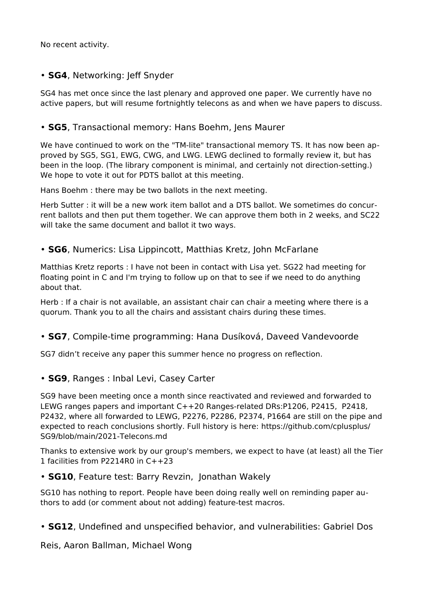No recent activity.

### • **SG4**, Networking: Jeff Snyder

SG4 has met once since the last plenary and approved one paper. We currently have no active papers, but will resume fortnightly telecons as and when we have papers to discuss.

### • **SG5**, Transactional memory: Hans Boehm, Jens Maurer

We have continued to work on the "TM-lite" transactional memory TS. It has now been approved by SG5, SG1, EWG, CWG, and LWG. LEWG declined to formally review it, but has been in the loop. (The library component is minimal, and certainly not direction-setting.) We hope to vote it out for PDTS ballot at this meeting.

Hans Boehm : there may be two ballots in the next meeting.

Herb Sutter : it will be a new work item ballot and a DTS ballot. We sometimes do concurrent ballots and then put them together. We can approve them both in 2 weeks, and SC22 will take the same document and ballot it two ways.

### • **SG6**, Numerics: Lisa Lippincott, Matthias Kretz, John McFarlane

Matthias Kretz reports : I have not been in contact with Lisa yet. SG22 had meeting for floating point in C and I'm trying to follow up on that to see if we need to do anything about that.

Herb : If a chair is not available, an assistant chair can chair a meeting where there is a quorum. Thank you to all the chairs and assistant chairs during these times.

### • **SG7**, Compile-time programming: Hana Dusíková, Daveed Vandevoorde

SG7 didn't receive any paper this summer hence no progress on reflection.

#### • **SG9**, Ranges : Inbal Levi, Casey Carter

SG9 have been meeting once a month since reactivated and reviewed and forwarded to LEWG ranges papers and important C++20 Ranges-related DRs:P1206, P2415, P2418, P2432, where all forwarded to LEWG, P2276, P2286, P2374, P1664 are still on the pipe and expected to reach conclusions shortly. Full history is here: [https://github.com/cplusplus/](https://github.com/cplusplus/SG9/blob/main/2021-Telecons.md) [SG9/blob/main/2021-Telecons.md](https://github.com/cplusplus/SG9/blob/main/2021-Telecons.md)

[Th](https://github.com/cplusplus/SG9/blob/main/2021-Telecons.mdT)anks to extensive work by our group's members, we expect to have (at least) all the Tier 1 facilities from P2214R0 in C++23

#### • **SG10**, Feature test: Barry Revzin, Jonathan Wakely

SG10 has nothing to report. People have been doing really well on reminding paper authors to add (or comment about not adding) feature-test macros.

• **SG12**, Undefined and unspecified behavior, and vulnerabilities: Gabriel Dos

Reis, Aaron Ballman, Michael Wong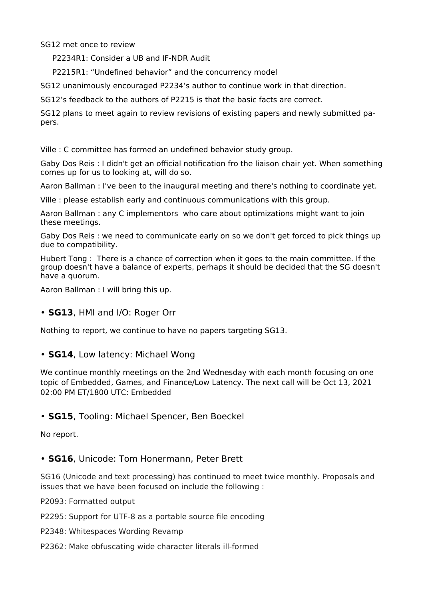SG12 met once to review

P2234R1: Consider a UB and IF-NDR Audit

P2215R1: "Undefined behavior" and the concurrency model

SG12 unanimously encouraged P2234's author to continue work in that direction.

SG12's feedback to the authors of P2215 is that the basic facts are correct.

SG12 plans to meet again to review revisions of existing papers and newly submitted papers.

Ville : C committee has formed an undefined behavior study group.

Gaby Dos Reis : I didn't get an official notification fro the liaison chair yet. When something comes up for us to looking at, will do so.

Aaron Ballman : I've been to the inaugural meeting and there's nothing to coordinate yet.

Ville : please establish early and continuous communications with this group.

Aaron Ballman : any C implementors who care about optimizations might want to join these meetings.

Gaby Dos Reis : we need to communicate early on so we don't get forced to pick things up due to compatibility.

Hubert Tong : There is a chance of correction when it goes to the main committee. If the group doesn't have a balance of experts, perhaps it should be decided that the SG doesn't have a quorum.

Aaron Ballman : I will bring this up.

#### • **SG13**, HMI and I/O: Roger Orr

Nothing to report, we continue to have no papers targeting SG13.

#### • **SG14**, Low latency: Michael Wong

We continue monthly meetings on the 2nd Wednesday with each month focusing on one topic of Embedded, Games, and Finance/Low Latency. The next call will be Oct 13, 2021 02:00 PM ET/1800 UTC: Embedded

#### • **SG15**, Tooling: Michael Spencer, Ben Boeckel

No report.

#### • **SG16**, Unicode: Tom Honermann, Peter Brett

SG16 (Unicode and text processing) has continued to meet twice monthly. Proposals and issues that we have been focused on include the following :

P2093: Formatted output

P2295: Support for UTF-8 as a portable source file encoding

P2348: Whitespaces Wording Revamp

P2362: Make obfuscating wide character literals ill-formed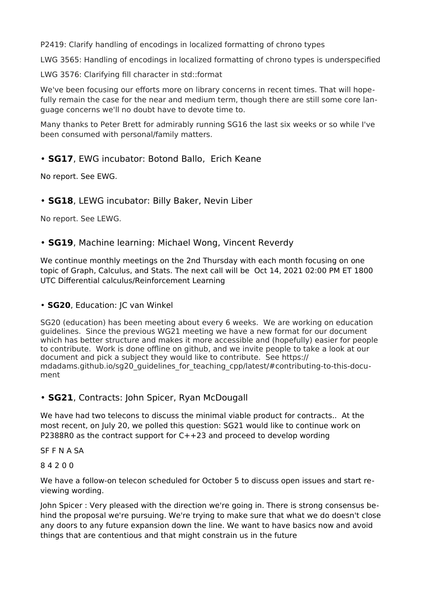P2419: Clarify handling of encodings in localized formatting of chrono types

LWG 3565: Handling of encodings in localized formatting of chrono types is underspecified

LWG 3576: Clarifying fill character in std::format

We've been focusing our efforts more on library concerns in recent times. That will hopefully remain the case for the near and medium term, though there are still some core language concerns we'll no doubt have to devote time to.

Many thanks to Peter Brett for admirably running SG16 the last six weeks or so while I've been consumed with personal/family matters.

### • **SG17**, EWG incubator: Botond Ballo, Erich Keane

No report. See EWG.

### • **SG18**, LEWG incubator: Billy Baker, Nevin Liber

No report. See LEWG.

#### • **SG19**, Machine learning: Michael Wong, Vincent Reverdy

We continue monthly meetings on the 2nd Thursday with each month focusing on one topic of Graph, Calculus, and Stats. The next call will be Oct 14, 2021 02:00 PM ET 1800 UTC Differential calculus/Reinforcement Learning

• **SG20**, Education: JC van Winkel

SG20 (education) has been meeting about every 6 weeks. We are working on education guidelines. Since the previous WG21 meeting we have a new format for our document which has better structure and makes it more accessible and (hopefully) easier for people to contribute. Work is done offline on github, and we invite people to take a look at our document and pick a subject they would like to contribute. See https:// mdadams.github.io/sg20\_guidelines\_for\_teaching\_cpp/latest/#contributing-to-this-document

#### • **SG21**, Contracts: John Spicer, Ryan McDougall

We have had two telecons to discuss the minimal viable product for contracts.. At the most recent, on July 20, we polled this question: SG21 would like to continue work on P2388R0 as the contract support for  $C++23$  and proceed to develop wording

SF F N A SA

#### 8 4 2 0 0

We have a follow-on telecon scheduled for October 5 to discuss open issues and start reviewing wording.

John Spicer : Very pleased with the direction we're going in. There is strong consensus behind the proposal we're pursuing. We're trying to make sure that what we do doesn't close any doors to any future expansion down the line. We want to have basics now and avoid things that are contentious and that might constrain us in the future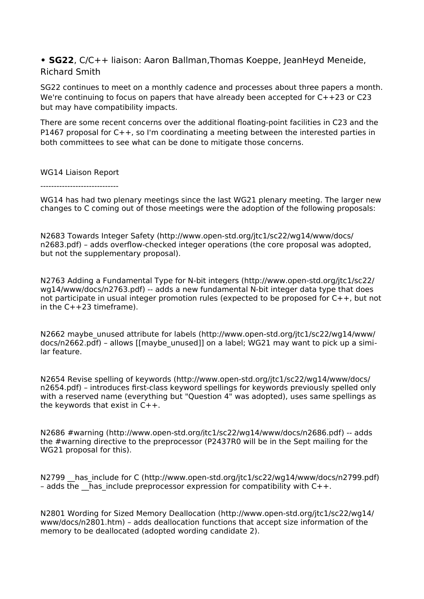**• SG22**, C/C++ liaison: Aaron Ballman,Thomas Koeppe, JeanHeyd Meneide, Richard Smith

SG22 continues to meet on a monthly cadence and processes about three papers a month. We're continuing to focus on papers that have already been accepted for C++23 or C23 but may have compatibility impacts.

There are some recent concerns over the additional floating-point facilities in C23 and the P1467 proposal for C++, so I'm coordinating a meeting between the interested parties in both committees to see what can be done to mitigate those concerns.

WG14 Liaison Report

 $-$ 

WG14 has had two plenary meetings since the last WG21 plenary meeting. The larger new changes to C coming out of those meetings were the adoption of the following proposals:

N2683 Towards Integer Safety (http://www.open-std.org/jtc1/sc22/wg14/www/docs/ n2683.pdf) – adds overflow-checked integer operations (the core proposal was adopted, but not the supplementary proposal).

N2763 Adding a Fundamental Type for N-bit integers (http://www.open-std.org/jtc1/sc22/ wg14/www/docs/n2763.pdf) -- adds a new fundamental N-bit integer data type that does not participate in usual integer promotion rules (expected to be proposed for C++, but not in the  $C++23$  time frame).

N2662 maybe\_unused attribute for labels (http://www.open-std.org/jtc1/sc22/wg14/www/ docs/n2662.pdf) – allows [[maybe\_unused]] on a label; WG21 may want to pick up a similar feature.

N2654 Revise spelling of keywords (http://www.open-std.org/jtc1/sc22/wg14/www/docs/ n2654.pdf) – introduces first-class keyword spellings for keywords previously spelled only with a reserved name (everything but "Question 4" was adopted), uses same spellings as the keywords that exist in C++.

N2686 #warning [\(http://www.open-std.org/jtc1/sc22/wg14/www/docs/n2686.pdf\)](http://www.open-std.org/jtc1/sc22/wg14/www/docs/n2686.pdf) -- adds the #warning directive to the preprocessor (P2437R0 will be in the Sept mailing for the WG21 proposal for this).

N2799 has include for C (http://www.open-std.org/jtc1/sc22/wg14/www/docs/n2799.pdf) - adds the  $\overline{h}$  has include preprocessor expression for compatibility with C++.

N2801 Wording for Sized Memory Deallocation (http://www.open-std.org/jtc1/sc22/wg14/ www/docs/n2801.htm) – adds deallocation functions that accept size information of the memory to be deallocated (adopted wording candidate 2).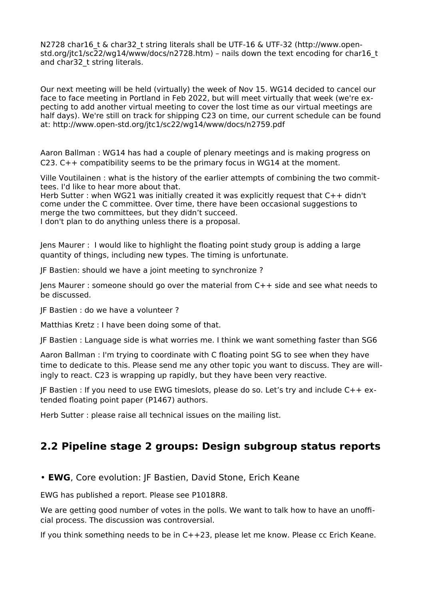N2728 char16 t & char32 t string literals shall be UTF-16 & UTF-32 (http://www.openstd.org/jtc1/sc22/wg14/www/docs/n2728.htm) – nails down the text encoding for char16\_t and char32 t string literals.

Our next meeting will be held (virtually) the week of Nov 15. WG14 decided to cancel our face to face meeting in Portland in Feb 2022, but will meet virtually that week (we're expecting to add another virtual meeting to cover the lost time as our virtual meetings are half days). We're still on track for shipping C23 on time, our current schedule can be found at: http://www.open-std.org/jtc1/sc22/wg14/www/docs/n2759.pdf

Aaron Ballman : WG14 has had a couple of plenary meetings and is making progress on C23. C++ compatibility seems to be the primary focus in WG14 at the moment.

Ville Voutilainen : what is the history of the earlier attempts of combining the two committees. I'd like to hear more about that.

Herb Sutter : when WG21 was initially created it was explicitly request that C++ didn't come under the C committee. Over time, there have been occasional suggestions to merge the two committees, but they didn't succeed.

I don't plan to do anything unless there is a proposal.

Jens Maurer : I would like to highlight the floating point study group is adding a large quantity of things, including new types. The timing is unfortunate.

JF Bastien: should we have a joint meeting to synchronize ?

Jens Maurer : someone should go over the material from C++ side and see what needs to be discussed.

JF Bastien : do we have a volunteer ?

Matthias Kretz : I have been doing some of that.

JF Bastien : Language side is what worries me. I think we want something faster than SG6

Aaron Ballman : I'm trying to coordinate with C floating point SG to see when they have time to dedicate to this. Please send me any other topic you want to discuss. They are willingly to react. C23 is wrapping up rapidly, but they have been very reactive.

JF Bastien : If you need to use EWG timeslots, please do so. Let's try and include C++ extended floating point paper (P1467) authors.

Herb Sutter : please raise all technical issues on the mailing list.

## **2.2 Pipeline stage 2 groups: Design subgroup status reports**

• **EWG**, Core evolution: JF Bastien, David Stone, Erich Keane

EWG has published a report. Please see [P1018R8.](https://isocpp.org/files/papers/P1018R8.html)

We are getting good number of votes in the polls. We want to talk how to have an unofficial process. The discussion was controversial.

If you think something needs to be in C++23, please let me know. Please cc Erich Keane.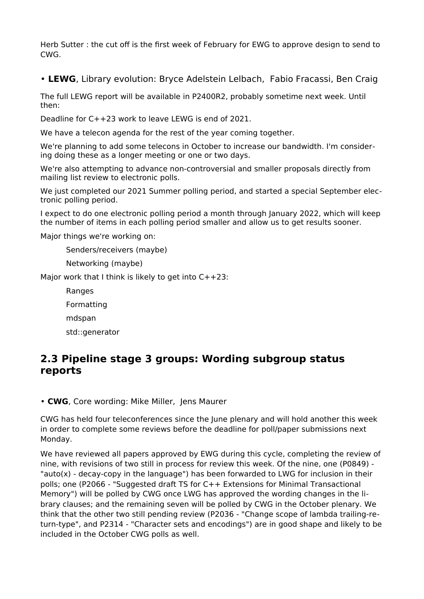Herb Sutter : the cut off is the first week of February for EWG to approve design to send to CWG.

• **LEWG**, Library evolution: Bryce Adelstein Lelbach, Fabio Fracassi, Ben Craig

The full LEWG report will be available in P2400R2, probably sometime next week. Until then:

Deadline for C++23 work to leave LEWG is end of 2021.

We have a telecon agenda for the rest of the year coming together.

We're planning to add some telecons in October to increase our bandwidth. I'm considering doing these as a longer meeting or one or two days.

We're also attempting to advance non-controversial and smaller proposals directly from mailing list review to electronic polls.

We just completed our 2021 Summer polling period, and started a special September electronic polling period.

I expect to do one electronic polling period a month through January 2022, which will keep the number of items in each polling period smaller and allow us to get results sooner.

Major things we're working on:

Senders/receivers (maybe)

Networking (maybe)

Major work that I think is likely to get into  $C++23$ :

Ranges

Formatting

mdspan

std::generator

## **2.3 Pipeline stage 3 groups: Wording subgroup status reports**

• **CWG**, Core wording: Mike Miller, Jens Maurer

CWG has held four teleconferences since the June plenary and will hold another this week in order to complete some reviews before the deadline for poll/paper submissions next Monday.

We have reviewed all papers approved by EWG during this cycle, completing the review of nine, with revisions of two still in process for review this week. Of the nine, one (P0849) - "auto(x) - decay-copy in the language") has been forwarded to LWG for inclusion in their polls; one (P2066 - "Suggested draft TS for C++ Extensions for Minimal Transactional Memory") will be polled by CWG once LWG has approved the wording changes in the library clauses; and the remaining seven will be polled by CWG in the October plenary. We think that the other two still pending review (P2036 - "Change scope of lambda trailing-return-type", and P2314 - "Character sets and encodings") are in good shape and likely to be included in the October CWG polls as well.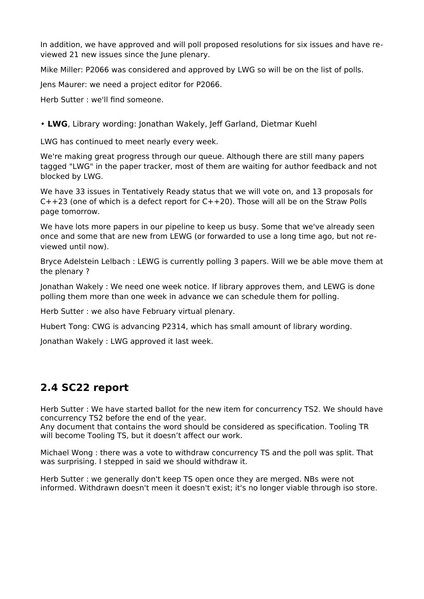In addition, we have approved and will poll proposed resolutions for six issues and have reviewed 21 new issues since the June plenary.

Mike Miller: P2066 was considered and approved by LWG so will be on the list of polls.

Jens Maurer: we need a project editor for P2066.

Herb Sutter : we'll find someone.

#### • **LWG**, Library wording: Jonathan Wakely, Jeff Garland, Dietmar Kuehl

LWG has continued to meet nearly every week.

We're making great progress through our queue. Although there are still many papers tagged "LWG" in the paper tracker, most of them are waiting for author feedback and not blocked by LWG.

We have 33 issues in Tentatively Ready status that we will vote on, and 13 proposals for  $C++23$  (one of which is a defect report for  $C++20$ ). Those will all be on the Straw Polls page tomorrow.

We have lots more papers in our pipeline to keep us busy. Some that we've already seen once and some that are new from LEWG (or forwarded to use a long time ago, but not reviewed until now).

Bryce Adelstein Lelbach : LEWG is currently polling 3 papers. Will we be able move them at the plenary ?

Jonathan Wakely : We need one week notice. If library approves them, and LEWG is done polling them more than one week in advance we can schedule them for polling.

Herb Sutter : we also have February virtual plenary.

Hubert Tong: CWG is advancing P2314, which has small amount of library wording.

Jonathan Wakely : LWG approved it last week.

## **2.4 SC22 report**

Herb Sutter : We have started ballot for the new item for concurrency TS2. We should have concurrency TS2 before the end of the year.

Any document that contains the word should be considered as specification. Tooling TR will become Tooling TS, but it doesn't affect our work.

Michael Wong : there was a vote to withdraw concurrency TS and the poll was split. That was surprising. I stepped in said we should withdraw it.

Herb Sutter : we generally don't keep TS open once they are merged. NBs were not informed. Withdrawn doesn't meen it doesn't exist; it's no longer viable through iso store.